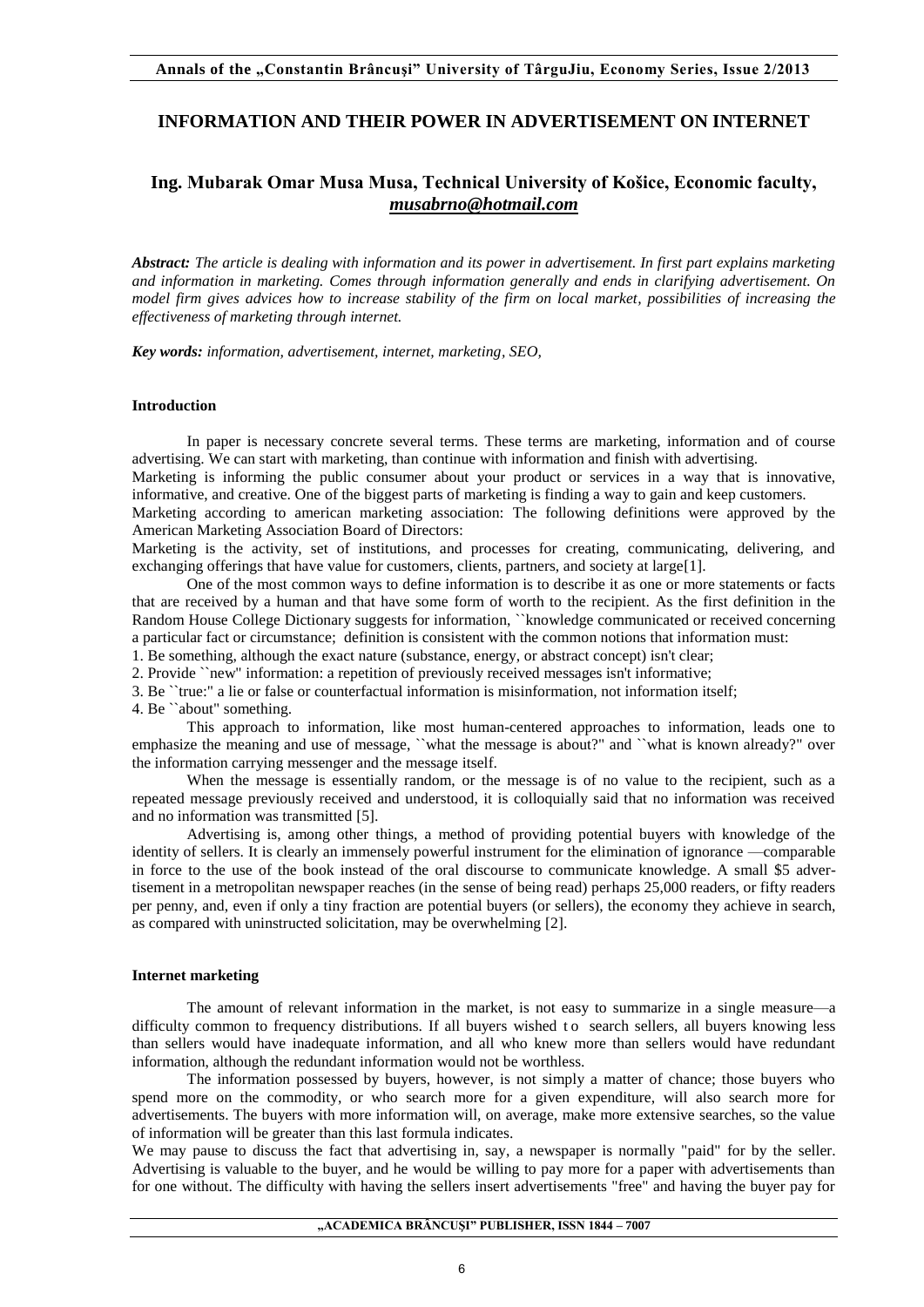## **INFORMATION AND THEIR POWER IN ADVERTISEMENT ON INTERNET**

# **Ing. Mubarak Omar Musa Musa, Technical University of Košice, Economic faculty,**  *[musabrno@hotmail.com](mailto:musabrno@hotmail.com)*

*Abstract: The article is dealing with information and its power in advertisement. In first part explains marketing and information in marketing. Comes through information generally and ends in clarifying advertisement. On model firm gives advices how to increase stability of the firm on local market, possibilities of increasing the effectiveness of marketing through internet.* 

*Key words: information, advertisement, internet, marketing, SEO,* 

## **Introduction**

In paper is necessary concrete several terms. These terms are marketing, information and of course advertising. We can start with marketing, than continue with information and finish with advertising.

Marketing is informing the public consumer about your product or services in a way that is innovative, informative, and creative. One of the biggest parts of marketing is finding a way to gain and keep customers.

Marketing according to american marketing association: The following definitions were approved by the American Marketing Association Board of Directors:

Marketing is the activity, set of institutions, and processes for creating, communicating, delivering, and exchanging offerings that have value for customers, clients, partners, and society at large<sup>[1]</sup>.

One of the most common ways to define information is to describe it as one or more statements or facts that are received by a human and that have some form of worth to the recipient. As the first definition in the Random House College Dictionary suggests for information, ``knowledge communicated or received concerning a particular fact or circumstance; definition is consistent with the common notions that information must:

1. Be something, although the exact nature (substance, energy, or abstract concept) isn't clear;

2. Provide ``new" information: a repetition of previously received messages isn't informative;

3. Be ``true:" a lie or false or counterfactual information is misinformation, not information itself;

4. Be ``about" something.

This approach to information, like most human-centered approaches to information, leads one to emphasize the meaning and use of message, "what the message is about?" and "what is known already?" over the information carrying messenger and the message itself.

When the message is essentially random, or the message is of no value to the recipient, such as a repeated message previously received and understood, it is colloquially said that no information was received and no information was transmitted [5].

Advertising is, among other things, a method of providing potential buyers with knowledge of the identity of sellers. It is clearly an immensely powerful instrument for the elimination of ignorance —comparable in force to the use of the book instead of the oral discourse to communicate knowledge. A small \$5 advertisement in a metropolitan newspaper reaches (in the sense of being read) perhaps 25,000 readers, or fifty readers per penny, and, even if only a tiny fraction are potential buyers (or sellers), the economy they achieve in search, as compared with uninstructed solicitation, may be overwhelming [2].

#### **Internet marketing**

The amount of relevant information in the market, is not easy to summarize in a single measure—a difficulty common to frequency distributions. If all buyers wished to search sellers, all buyers knowing less than sellers would have inadequate information, and all who knew more than sellers would have redundant information, although the redundant information would not be worthless.

The information possessed by buyers, however, is not simply a matter of chance; those buyers who spend more on the commodity, or who search more for a given expenditure, will also search more for advertisements. The buyers with more information will, on average, make more extensive searches, so the value of information will be greater than this last formula indicates.

We may pause to discuss the fact that advertising in, say, a newspaper is normally "paid" for by the seller. Advertising is valuable to the buyer, and he would be willing to pay more for a paper with advertisements than for one without. The difficulty with having the sellers insert advertisements "free" and having the buyer pay for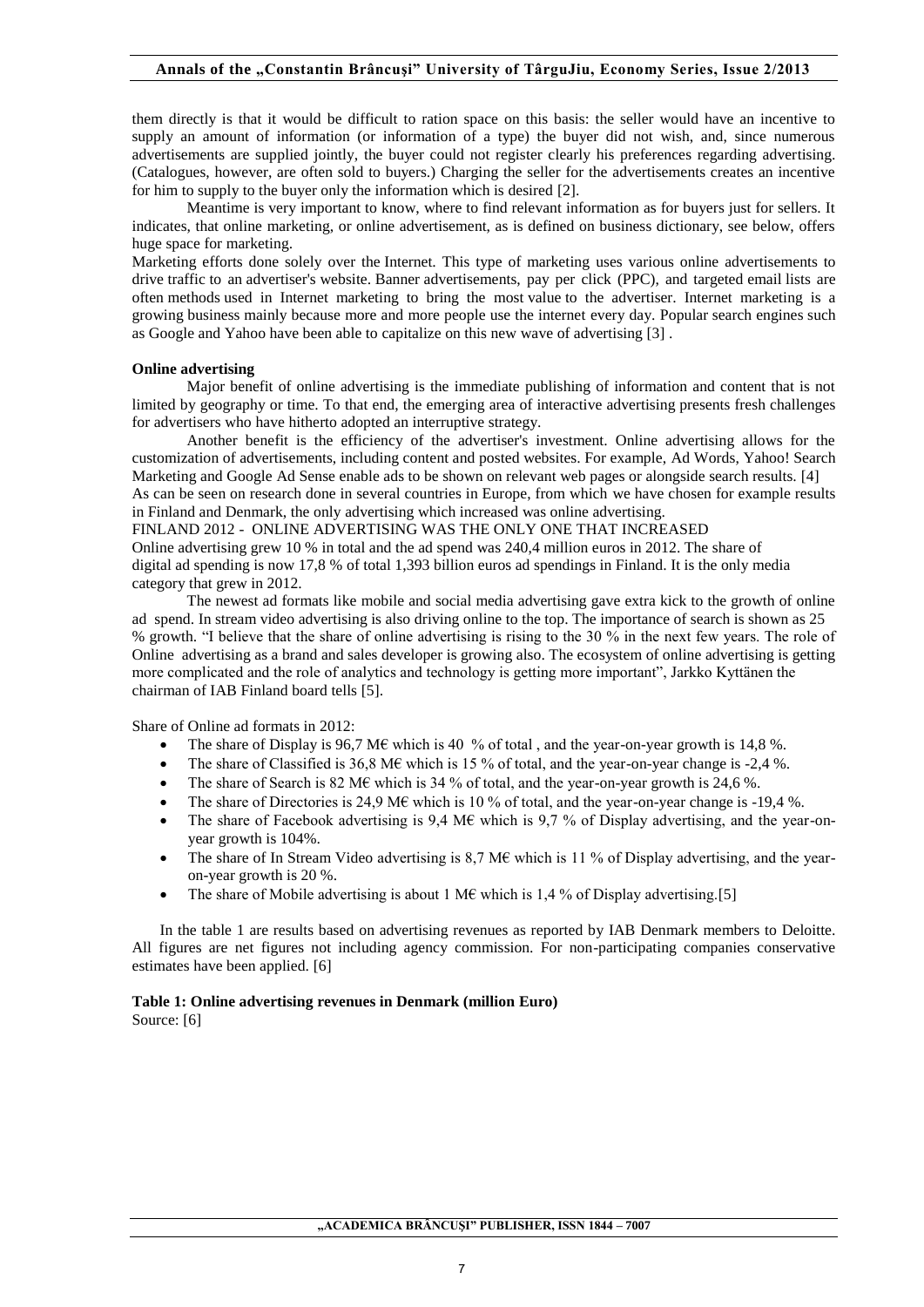them directly is that it would be difficult to ration space on this basis: the seller would have an incentive to supply an amount of information (or information of a type) the buyer did not wish, and, since numerous advertisements are supplied jointly, the buyer could not register clearly his preferences regarding advertising. (Catalogues, however, are often sold to buyers.) Charging the seller for the advertisements creates an incentive for him to supply to the buyer only the information which is desired [2].

Meantime is very important to know, where to find relevant information as for buyers just for sellers. It indicates, that online marketing, or online advertisement, as is defined on business dictionary, see below, offers huge space for marketing.

Marketing efforts done solely over the Internet. This type of marketing uses various online advertisements to drive traffic to an advertiser's website. Banner advertisements, pay per click (PPC), and targeted email lists are often methods used in Internet marketing to bring the most value to the advertiser. Internet marketing is a growing business mainly because more and more people use the internet every day. Popular search engines such as Google and Yahoo have been able to capitalize on this new wave of advertising [3] .

## **Online advertising**

Major benefit of online advertising is the immediate publishing of information and content that is not limited by geography or time. To that end, the emerging area of interactive advertising presents fresh challenges for advertisers who have hitherto adopted an interruptive strategy.

Another benefit is the efficiency of the advertiser's investment. Online advertising allows for the customization of advertisements, including content and posted websites. For example, Ad Words, Yahoo! Search Marketing and Google Ad Sense enable ads to be shown on relevant web pages or alongside search results. [4] As can be seen on research done in several countries in Europe, from which we have chosen for example results in Finland and Denmark, the only advertising which increased was online advertising.

FINLAND 2012 - ONLINE ADVERTISING WAS THE ONLY ONE THAT INCREASED

Online advertising grew 10 % in total and the ad spend was 240,4 million euros in 2012. The share of digital ad spending is now 17,8 % of total 1,393 billion euros ad spendings in Finland. It is the only media category that grew in 2012.

The newest ad formats like mobile and social media advertising gave extra kick to the growth of online ad spend. In stream video advertising is also driving online to the top. The importance of search is shown as 25 % growth. "I believe that the share of online advertising is rising to the 30 % in the next few years. The role of Online advertising as a brand and sales developer is growing also. The ecosystem of online advertising is getting more complicated and the role of analytics and technology is getting more important", Jarkko Kyttänen the chairman of IAB Finland board tells [5].

Share of Online ad formats in 2012:

- The share of Display is 96,7 M€ which is 40 % of total , and the year-on-year growth is 14,8 %.
- The share of Classified is 36,8 M€ which is 15 % of total, and the year-on-year change is -2,4 %.
- The share of Search is 82 M€ which is 34 % of total, and the year-on-year growth is 24,6 %.
- The share of Directories is 24.9 ME which is 10 % of total, and the year-on-year change is -19.4 %.
- The share of Facebook advertising is  $9.4 \text{ M} \text{E}$  which is  $9.7 \%$  of Display advertising, and the year-onyear growth is 104%.
- The share of In Stream Video advertising is 8,7 M€ which is 11 % of Display advertising, and the yearon-year growth is 20 %.
- The share of Mobile advertising is about 1 M€ which is 1.4 % of Display advertising. [5]

In the table 1 are results based on advertising revenues as reported by IAB Denmark members to Deloitte. All figures are net figures not including agency commission. For non-participating companies conservative estimates have been applied. [6]

## **Table 1: Online advertising revenues in Denmark (million Euro)**

Source: [6]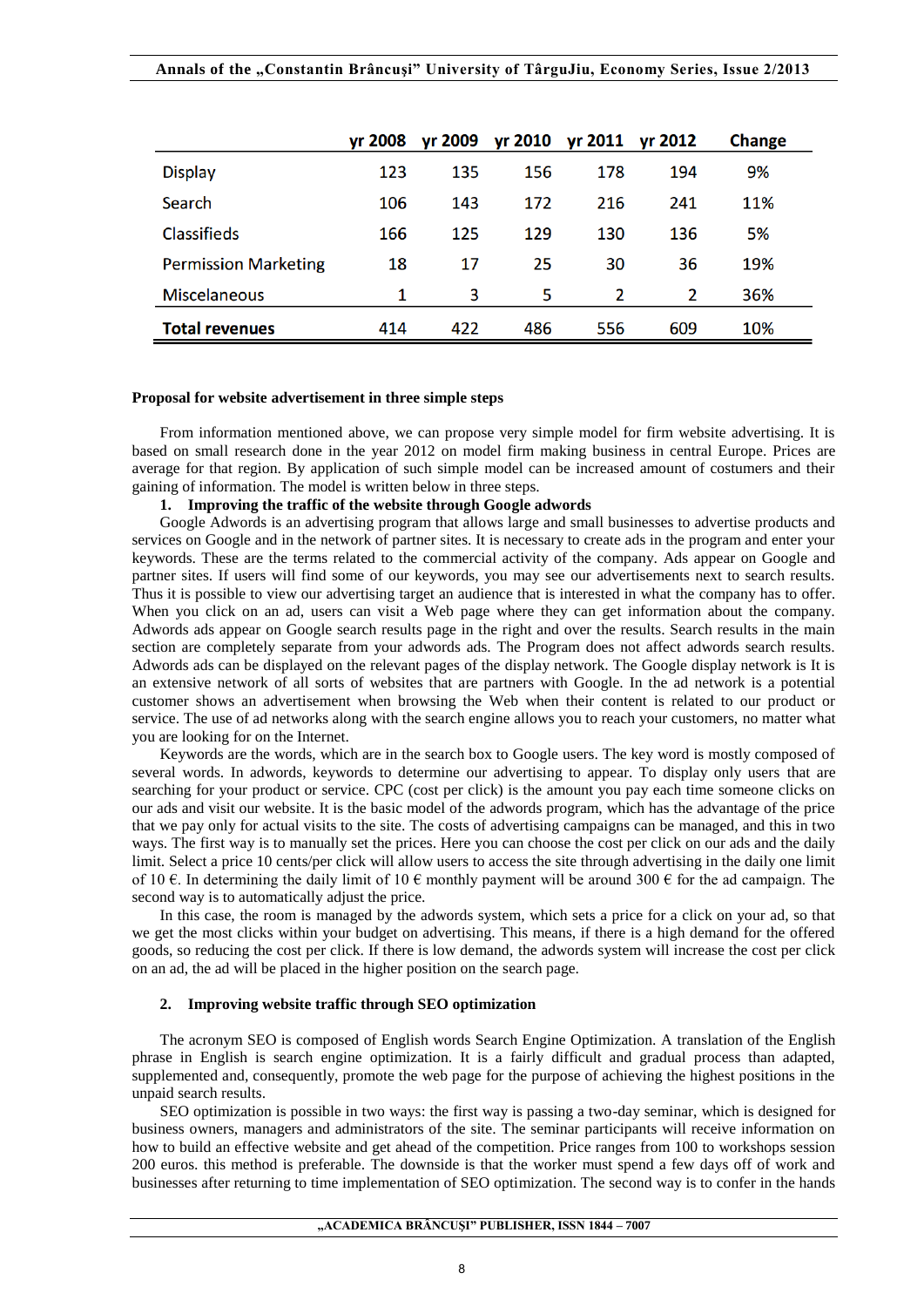| Annals of the "Constantin Brâncuşi" University of TârguJiu, Economy Series, Issue 2/2013 |  |  |  |
|------------------------------------------------------------------------------------------|--|--|--|
|                                                                                          |  |  |  |

|                             | yr 2008 | yr 2009 | yr 2010 | yr 2011 yr 2012 |     | <b>Change</b> |
|-----------------------------|---------|---------|---------|-----------------|-----|---------------|
| <b>Display</b>              | 123     | 135     | 156     | 178             | 194 | 9%            |
| Search                      | 106     | 143     | 172     | 216             | 241 | 11%           |
| Classifieds                 | 166     | 125     | 129     | 130             | 136 | 5%            |
| <b>Permission Marketing</b> | 18      | 17      | 25      | 30              | 36  | 19%           |
| <b>Miscelaneous</b>         |         | 3       | 5       | 2               | 2   | 36%           |
| <b>Total revenues</b>       | 414     | 422     | 486     | 556             | 609 | 10%           |

## **Proposal for website advertisement in three simple steps**

From information mentioned above, we can propose very simple model for firm website advertising. It is based on small research done in the year 2012 on model firm making business in central Europe. Prices are average for that region. By application of such simple model can be increased amount of costumers and their gaining of information. The model is written below in three steps.

#### **1. Improving the traffic of the website through Google adwords**

Google Adwords is an advertising program that allows large and small businesses to advertise products and services on Google and in the network of partner sites. It is necessary to create ads in the program and enter your keywords. These are the terms related to the commercial activity of the company. Ads appear on Google and partner sites. If users will find some of our keywords, you may see our advertisements next to search results. Thus it is possible to view our advertising target an audience that is interested in what the company has to offer. When you click on an ad, users can visit a Web page where they can get information about the company. Adwords ads appear on Google search results page in the right and over the results. Search results in the main section are completely separate from your adwords ads. The Program does not affect adwords search results. Adwords ads can be displayed on the relevant pages of the display network. The Google display network is It is an extensive network of all sorts of websites that are partners with Google. In the ad network is a potential customer shows an advertisement when browsing the Web when their content is related to our product or service. The use of ad networks along with the search engine allows you to reach your customers, no matter what you are looking for on the Internet.

Keywords are the words, which are in the search box to Google users. The key word is mostly composed of several words. In adwords, keywords to determine our advertising to appear. To display only users that are searching for your product or service. CPC (cost per click) is the amount you pay each time someone clicks on our ads and visit our website. It is the basic model of the adwords program, which has the advantage of the price that we pay only for actual visits to the site. The costs of advertising campaigns can be managed, and this in two ways. The first way is to manually set the prices. Here you can choose the cost per click on our ads and the daily limit. Select a price 10 cents/per click will allow users to access the site through advertising in the daily one limit of 10  $\epsilon$ . In determining the daily limit of 10  $\epsilon$  monthly payment will be around 300  $\epsilon$  for the ad campaign. The second way is to automatically adjust the price.

In this case, the room is managed by the adwords system, which sets a price for a click on your ad, so that we get the most clicks within your budget on advertising. This means, if there is a high demand for the offered goods, so reducing the cost per click. If there is low demand, the adwords system will increase the cost per click on an ad, the ad will be placed in the higher position on the search page.

## **2. Improving website traffic through SEO optimization**

The acronym SEO is composed of English words Search Engine Optimization. A translation of the English phrase in English is search engine optimization. It is a fairly difficult and gradual process than adapted, supplemented and, consequently, promote the web page for the purpose of achieving the highest positions in the unpaid search results.

SEO optimization is possible in two ways: the first way is passing a two-day seminar, which is designed for business owners, managers and administrators of the site. The seminar participants will receive information on how to build an effective website and get ahead of the competition. Price ranges from 100 to workshops session 200 euros. this method is preferable. The downside is that the worker must spend a few days off of work and businesses after returning to time implementation of SEO optimization. The second way is to confer in the hands